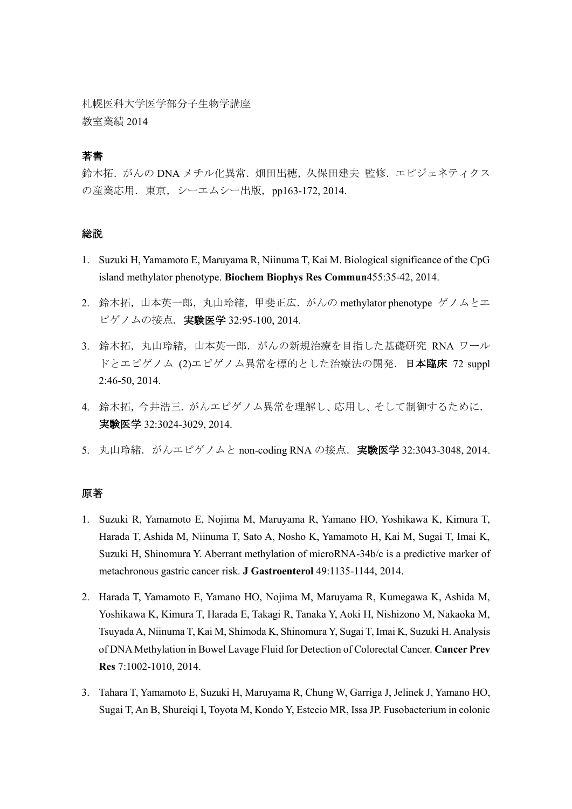札幌医科大学医学部分子生物学講座 教室業績 2014

## 著書

鈴木拓. がんの DNA メチル化異常. 畑田出穂, 久保田建夫 監修. エピジェネティクス の産業応用. 東京, シーエムシー出版, pp163-172, 2014.

## 総説

- 1. Suzuki H, Yamamoto E, Maruyama R, Niinuma T, Kai M. Biological significance of the CpG island methylator phenotype. **Biochem Biophys Res Commun**455:35-42, 2014.
- 2. 鈴木拓,山本英一郎,丸山玲緒,甲斐正広. がんの methylator phenotype ゲノムとエ ピゲノムの接点.実験医学 32:95-100, 2014.
- 3. 鈴木拓,丸山玲緒,山本英一郎. がんの新規治療を目指した基礎研究 RNA ワール ドとエピゲノム (2)エピゲノム異常を標的とした治療法の開発. 日本臨床 72 suppl 2:46-50, 2014.
- 4. 鈴木拓,今井浩三.がんエピゲノム異常を理解し、応用し、そして制御するために. 実験医学 32:3024-3029, 2014.
- 5. 丸山玲緒. がんエピゲノムと non-coding RNA の接点. 実験医学 32:3043-3048, 2014.

### 原著

- 1. Suzuki R, Yamamoto E, Nojima M, Maruyama R, Yamano HO, Yoshikawa K, Kimura T, Harada T, Ashida M, Niinuma T, Sato A, Nosho K, Yamamoto H, Kai M, Sugai T, Imai K, Suzuki H, Shinomura Y. Aberrant methylation of microRNA-34b/c is a predictive marker of metachronous gastric cancer risk. **J Gastroenterol** 49:1135-1144, 2014.
- 2. Harada T, Yamamoto E, Yamano HO, Nojima M, Maruyama R, Kumegawa K, Ashida M, Yoshikawa K, Kimura T, Harada E, Takagi R, Tanaka Y, Aoki H, Nishizono M, Nakaoka M, Tsuyada A, Niinuma T, Kai M, Shimoda K, Shinomura Y, Sugai T, Imai K, Suzuki H. Analysis of DNA Methylation in Bowel Lavage Fluid for Detection of Colorectal Cancer. **Cancer Prev Res** 7:1002-1010, 2014.
- 3. Tahara T, Yamamoto E, Suzuki H, Maruyama R, Chung W, Garriga J, Jelinek J, Yamano HO, Sugai T, An B, Shureiqi I, Toyota M, Kondo Y, Estecio MR, Issa JP. Fusobacterium in colonic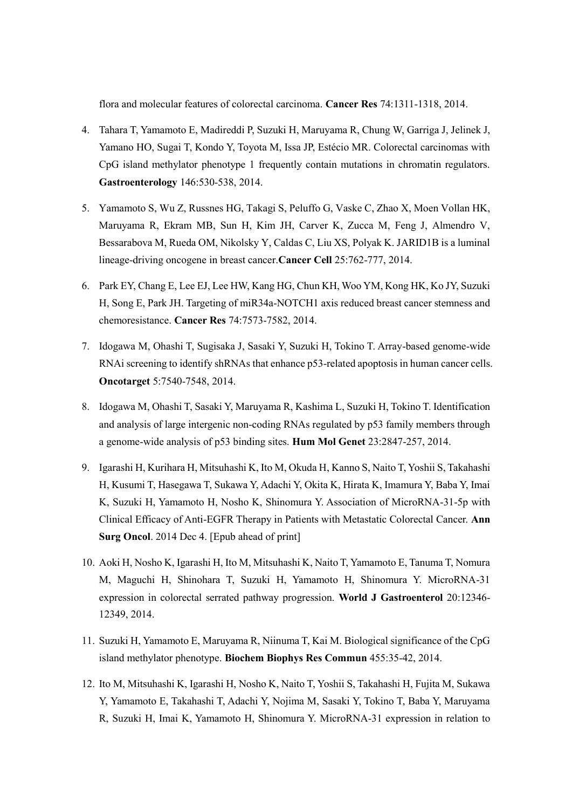flora and molecular features of colorectal carcinoma. **Cancer Res** 74:1311-1318, 2014.

- 4. Tahara T, Yamamoto E, Madireddi P, Suzuki H, Maruyama R, Chung W, Garriga J, Jelinek J, Yamano HO, Sugai T, Kondo Y, Toyota M, Issa JP, Estécio MR. Colorectal carcinomas with CpG island methylator phenotype 1 frequently contain mutations in chromatin regulators. **Gastroenterology** 146:530-538, 2014.
- 5. Yamamoto S, Wu Z, Russnes HG, Takagi S, Peluffo G, Vaske C, Zhao X, Moen Vollan HK, Maruyama R, Ekram MB, Sun H, Kim JH, Carver K, Zucca M, Feng J, Almendro V, Bessarabova M, Rueda OM, Nikolsky Y, Caldas C, Liu XS, Polyak K. JARID1B is a luminal lineage-driving oncogene in breast cancer.**Cancer Cell** 25:762-777, 2014.
- 6. Park EY, Chang E, Lee EJ, Lee HW, Kang HG, Chun KH, Woo YM, Kong HK, Ko JY, Suzuki H, Song E, Park JH. Targeting of miR34a-NOTCH1 axis reduced breast cancer stemness and chemoresistance. **Cancer Res** 74:7573-7582, 2014.
- 7. Idogawa M, Ohashi T, Sugisaka J, Sasaki Y, Suzuki H, Tokino T. Array-based genome-wide RNAi screening to identify shRNAs that enhance p53-related apoptosis in human cancer cells. **Oncotarget** 5:7540-7548, 2014.
- 8. Idogawa M, Ohashi T, Sasaki Y, Maruyama R, Kashima L, Suzuki H, Tokino T. Identification and analysis of large intergenic non-coding RNAs regulated by p53 family members through a genome-wide analysis of p53 binding sites. **Hum Mol Genet** 23:2847-257, 2014.
- 9. Igarashi H, Kurihara H, Mitsuhashi K, Ito M, Okuda H, Kanno S, Naito T, Yoshii S, Takahashi H, Kusumi T, Hasegawa T, Sukawa Y, Adachi Y, Okita K, Hirata K, Imamura Y, Baba Y, Imai K, Suzuki H, Yamamoto H, Nosho K, Shinomura Y. Association of MicroRNA-31-5p with Clinical Efficacy of Anti-EGFR Therapy in Patients with Metastatic Colorectal Cancer. **Ann Surg Oncol**. 2014 Dec 4. [Epub ahead of print]
- 10. Aoki H, Nosho K, Igarashi H, Ito M, Mitsuhashi K, Naito T, Yamamoto E, Tanuma T, Nomura M, Maguchi H, Shinohara T, Suzuki H, Yamamoto H, Shinomura Y. MicroRNA-31 expression in colorectal serrated pathway progression. **World J Gastroenterol** 20:12346- 12349, 2014.
- 11. Suzuki H, Yamamoto E, Maruyama R, Niinuma T, Kai M. Biological significance of the CpG island methylator phenotype. **Biochem Biophys Res Commun** 455:35-42, 2014.
- 12. Ito M, Mitsuhashi K, Igarashi H, Nosho K, Naito T, Yoshii S, Takahashi H, Fujita M, Sukawa Y, Yamamoto E, Takahashi T, Adachi Y, Nojima M, Sasaki Y, Tokino T, Baba Y, Maruyama R, Suzuki H, Imai K, Yamamoto H, Shinomura Y. MicroRNA-31 expression in relation to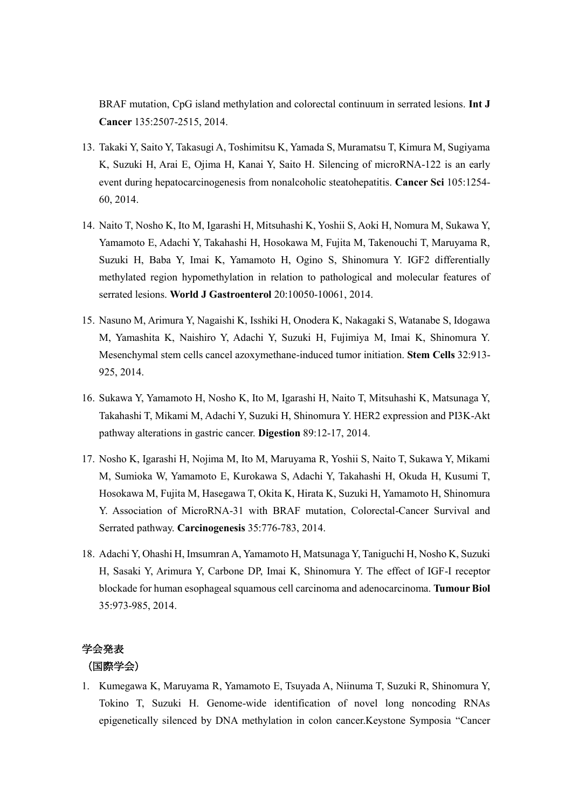BRAF mutation, CpG island methylation and colorectal continuum in serrated lesions. **Int J Cancer** 135:2507-2515, 2014.

- 13. Takaki Y, Saito Y, Takasugi A, Toshimitsu K, Yamada S, Muramatsu T, Kimura M, Sugiyama K, Suzuki H, Arai E, Ojima H, Kanai Y, Saito H. Silencing of microRNA-122 is an early event during hepatocarcinogenesis from nonalcoholic steatohepatitis. **Cancer Sci** 105:1254- 60, 2014.
- 14. Naito T, Nosho K, Ito M, Igarashi H, Mitsuhashi K, Yoshii S, Aoki H, Nomura M, Sukawa Y, Yamamoto E, Adachi Y, Takahashi H, Hosokawa M, Fujita M, Takenouchi T, Maruyama R, Suzuki H, Baba Y, Imai K, Yamamoto H, Ogino S, Shinomura Y. IGF2 differentially methylated region hypomethylation in relation to pathological and molecular features of serrated lesions. **World J Gastroenterol** 20:10050-10061, 2014.
- 15. Nasuno M, Arimura Y, Nagaishi K, Isshiki H, Onodera K, Nakagaki S, Watanabe S, Idogawa M, Yamashita K, Naishiro Y, Adachi Y, Suzuki H, Fujimiya M, Imai K, Shinomura Y. Mesenchymal stem cells cancel azoxymethane-induced tumor initiation. **Stem Cells** 32:913- 925, 2014.
- 16. Sukawa Y, Yamamoto H, Nosho K, Ito M, Igarashi H, Naito T, Mitsuhashi K, Matsunaga Y, Takahashi T, Mikami M, Adachi Y, Suzuki H, Shinomura Y. HER2 expression and PI3K-Akt pathway alterations in gastric cancer. **Digestion** 89:12-17, 2014.
- 17. Nosho K, Igarashi H, Nojima M, Ito M, Maruyama R, Yoshii S, Naito T, Sukawa Y, Mikami M, Sumioka W, Yamamoto E, Kurokawa S, Adachi Y, Takahashi H, Okuda H, Kusumi T, Hosokawa M, Fujita M, Hasegawa T, Okita K, Hirata K, Suzuki H, Yamamoto H, Shinomura Y. Association of MicroRNA-31 with BRAF mutation, Colorectal-Cancer Survival and Serrated pathway. **Carcinogenesis** 35:776-783, 2014.
- 18. Adachi Y, Ohashi H, Imsumran A, Yamamoto H, Matsunaga Y, Taniguchi H, Nosho K, Suzuki H, Sasaki Y, Arimura Y, Carbone DP, Imai K, Shinomura Y. The effect of IGF-I receptor blockade for human esophageal squamous cell carcinoma and adenocarcinoma. **Tumour Biol**  35:973-985, 2014.

# 学会発表 (国際学会)

1. Kumegawa K, Maruyama R, Yamamoto E, Tsuyada A, Niinuma T, Suzuki R, Shinomura Y, Tokino T, Suzuki H. Genome-wide identification of novel long noncoding RNAs epigenetically silenced by DNA methylation in colon cancer.Keystone Symposia "Cancer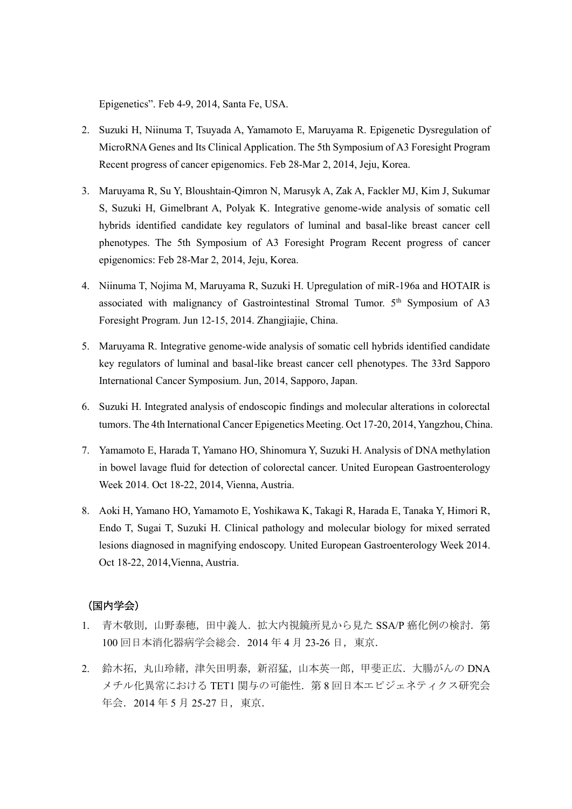Epigenetics". Feb 4-9, 2014, Santa Fe, USA.

- 2. Suzuki H, Niinuma T, Tsuyada A, Yamamoto E, Maruyama R. Epigenetic Dysregulation of MicroRNA Genes and Its Clinical Application. The 5th Symposium of A3 Foresight Program Recent progress of cancer epigenomics. Feb 28-Mar 2, 2014, Jeju, Korea.
- 3. Maruyama R, Su Y, Bloushtain-Qimron N, Marusyk A, Zak A, Fackler MJ, Kim J, Sukumar S, Suzuki H, Gimelbrant A, Polyak K. Integrative genome-wide analysis of somatic cell hybrids identified candidate key regulators of luminal and basal-like breast cancer cell phenotypes. The 5th Symposium of A3 Foresight Program Recent progress of cancer epigenomics: Feb 28-Mar 2, 2014, Jeju, Korea.
- 4. Niinuma T, Nojima M, Maruyama R, Suzuki H. Upregulation of miR-196a and HOTAIR is associated with malignancy of Gastrointestinal Stromal Tumor.  $5<sup>th</sup>$  Symposium of A3 Foresight Program. Jun 12-15, 2014. Zhangjiajie, China.
- 5. Maruyama R. Integrative genome-wide analysis of somatic cell hybrids identified candidate key regulators of luminal and basal-like breast cancer cell phenotypes. The 33rd Sapporo International Cancer Symposium. Jun, 2014, Sapporo, Japan.
- 6. Suzuki H. Integrated analysis of endoscopic findings and molecular alterations in colorectal tumors. The 4th International Cancer Epigenetics Meeting. Oct 17-20, 2014, Yangzhou, China.
- 7. Yamamoto E, Harada T, Yamano HO, Shinomura Y, Suzuki H. Analysis of DNA methylation in bowel lavage fluid for detection of colorectal cancer. United European Gastroenterology Week 2014. Oct 18-22, 2014, Vienna, Austria.
- 8. Aoki H, Yamano HO, Yamamoto E, Yoshikawa K, Takagi R, Harada E, Tanaka Y, Himori R, Endo T, Sugai T, Suzuki H. Clinical pathology and molecular biology for mixed serrated lesions diagnosed in magnifying endoscopy. United European Gastroenterology Week 2014. Oct 18-22, 2014,Vienna, Austria.

## (国内学会)

- 1. 青木敬則,山野泰穂,田中義人.拡大内視鏡所見から見た SSA/P 癌化例の検討. 第 100 回日本消化器病学会総会.2014 年 4 月 23-26 日,東京.
- 2. 鈴木拓,丸山玲緒,津矢田明泰,新沼猛,山本英一郎,甲斐正広,大腸がんの DNA メチル化異常における TET1 関与の可能性. 第8回日本エピジェネティクス研究会 年会.2014 年 5 月 25-27 日,東京.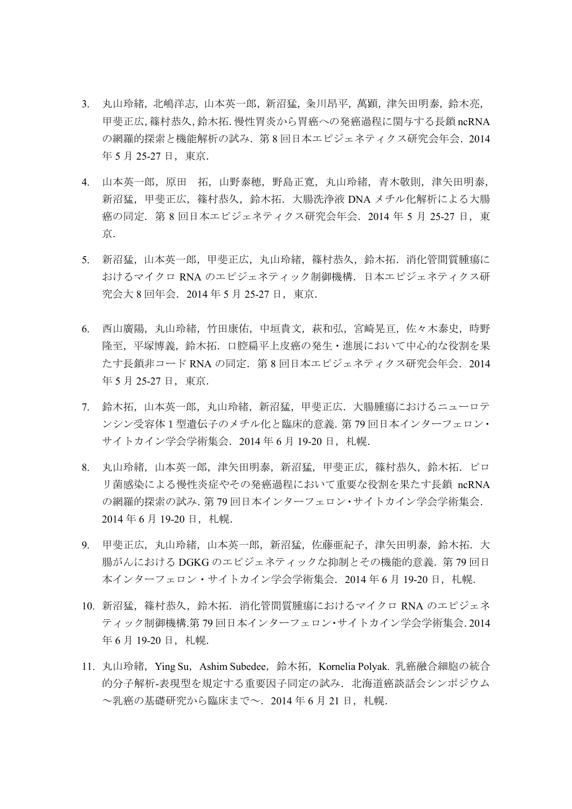- 3. 丸山玲緒,北嶋洋志,山本英一郎,新沼猛,粂川昂平,萬顕,津矢田明泰,鈴木亮, 甲斐正広,篠村恭久,鈴木拓.慢性胃炎から胃癌への発癌過程に関与する長鎖 ncRNA の網羅的探索と機能解析の試み.第 8 回日本エピジェネティクス研究会年会.2014 年 5 月 25-27 日, 東京.
- 4. 山本英一郎, 原田 拓, 山野泰穂, 野島正寛, 丸山玲緒, 青木敬則, 津矢田明泰, 新沼猛,甲斐正広,篠村恭久,鈴木拓. 大腸洗浄液 DNA メチル化解析による大腸 癌の同定. 第 8 回日本エピジェネティクス研究会年会. 2014 年 5 月 25-27 日, 東 京.
- 5. 新沼猛,山本英一郎,甲斐正広,丸山玲緒,篠村恭久,鈴木拓.消化管間質腫瘍に おけるマイクロ RNA のエピジェネティック制御機構.日本エピジェネティクス研 究会大 8 回年会.2014 年 5 月 25-27 日,東京.
- 6. 西山廣陽,丸山玲緒,竹田康佑,中垣貴文,萩和弘,宮崎晃亘,佐々木泰史,時野 隆至,平塚博義,鈴木拓. 口腔扁平上皮癌の発生・進展において中心的な役割を果 たす長鎖非コード RNA の同定.第 8 回日本エピジェネティクス研究会年会.2014 年 5 月 25-27 日, 東京.
- 7. 鈴木拓,山本英一郎,丸山玲緒,新沼猛,甲斐正広.大腸腫瘍におけるニューロテ ンシン受容体1型遺伝子のメチル化と臨床的意義.第 79 回日本インターフェロン・ サイトカイン学会学術集会. 2014年6月 19-20日, 札幌.
- 8. 丸山玲緒,山本英一郎,津矢田明泰,新沼猛,甲斐正広,篠村恭久,鈴木拓.ピロ リ菌感染による慢性炎症やその発癌過程において重要な役割を果たす長鎖 ncRNA の網羅的探索の試み.第 79 回日本インターフェロン・サイトカイン学会学術集会. 2014年6月19-20日, 札幌.
- 9. 甲斐正広,丸山玲緒,山本英一郎,新沼猛,佐藤亜紀子,津矢田明泰,鈴木拓.大 腸がんにおける DGKG のエピジェネティックな抑制とその機能的意義. 第79回日 本インターフェロン・サイトカイン学会学術集会.2014 年 6 月 19-20 日,札幌.
- 10. 新沼猛,篠村恭久,鈴木拓.消化管間質腫瘍におけるマイクロ RNA のエピジェネ ティック制御機構.第 79 回日本インターフェロン・サイトカイン学会学術集会.2014 年 6 月 19-20 日, 札幌.
- 11. 丸山玲緒, Ying Su, Ashim Subedee, 鈴木拓, Kornelia Polyak. 乳癌融合細胞の統合 的分子解析-表現型を規定する重要因子同定の試み.北海道癌談話会シンポジウム ~乳癌の基礎研究から臨床まで~.2014 年 6 月 21 日,札幌.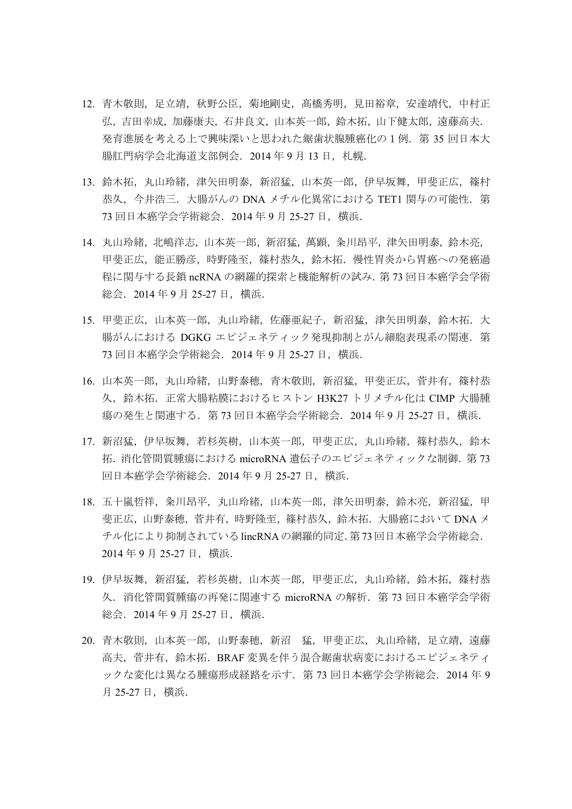- 12. 青木敬則, 足立靖, 秋野公臣, 菊地剛史, 髙橋秀明, 見田裕章, 安達靖代, 中村正 弘,吉田幸成,加藤康夫,石井良文,山本英一郎,鈴木拓,山下健太郎,遠藤高夫. 発育進展を考える上で興味深いと思われた鋸歯状腺腫癌化の1例.第 35 回日本大 腸肛門病学会北海道支部例会. 2014 年 9 月 13 日, 札幌.
- 13. 鈴木拓,丸山玲緒,津矢田明泰,新沼猛,山本英一郎,伊早坂舞,甲斐正広,篠村 恭久,今井浩三.大腸がんの DNA メチル化異常における TET1 関与の可能性.第 73 回日本癌学会学術総会.2014 年 9 月 25-27 日,横浜.
- 14. 丸山玲緒,北嶋洋志,山本英一郎,新沼猛,萬顕,粂川昂平,津矢田明泰,鈴木亮, 甲斐正広,能正勝彦,時野隆至,篠村恭久,鈴木拓.慢性胃炎から胃癌への発癌過 程に関与する長鎖 ncRNA の網羅的探索と機能解析の試み.第 73 回日本癌学会学術 総会.2014 年 9 月 25-27 日,横浜.
- 15. 甲斐正広,山本英一郎,丸山玲緒,佐藤亜紀子,新沼猛,津矢田明泰,鈴木拓.大 腸がんにおける DGKG エピジェネティック発現抑制とがん細胞表現系の関連. 第 73 回日本癌学会学術総会.2014 年 9 月 25-27 日,横浜.
- 16. 山本英一郎,丸山玲緒,山野泰穂,青木敬則,新沼猛,甲斐正広,菅井有,篠村恭 久, 鈴木拓. 正常大腸粘膜におけるヒストン H3K27 トリメチル化は CIMP 大腸腫 瘍の発生と関連する.第 73 回日本癌学会学術総会.2014 年 9 月 25-27 日,横浜.
- 17. 新沼猛,伊早坂舞,若杉英樹,山本英一郎,甲斐正広,丸山玲緒,篠村恭久,鈴木 拓.消化管間質腫瘍における microRNA 遺伝子のエピジェネティックな制御.第 73 回日本癌学会学術総会.2014 年 9 月 25-27 日,横浜.
- 18. 五十嵐哲祥, 粂川昂平, 丸山玲緒, 山本英一郎, 津矢田明泰, 鈴木亮, 新沼猛, 甲 斐正広,山野泰穂,菅井有,時野隆至,篠村恭久,鈴木拓.大腸癌において DNA メ チル化により抑制されているlincRNAの網羅的同定.第73回日本癌学会学術総会. 2014 年 9 月 25-27 日,横浜.
- 19. 伊早坂舞, 新沼猛, 若杉英樹, 山本英一郎, 甲斐正広, 丸山玲緒, 鈴木拓, 篠村恭 久.消化管間質腫瘍の再発に関連する microRNA の解析.第 73 回日本癌学会学術 総会.2014 年 9 月 25-27 日,横浜.
- 20. 青木敬則,山本英一郎,山野泰穂,新沼 猛,甲斐正広,丸山玲緒,足立靖,遠藤 高夫,菅井有,鈴木拓.BRAF 変異を伴う混合鋸歯状病変におけるエピジェネティ ックな変化は異なる腫瘍形成経路を示す.第 73 回日本癌学会学術総会.2014 年 9 月 25-27 日,横浜.